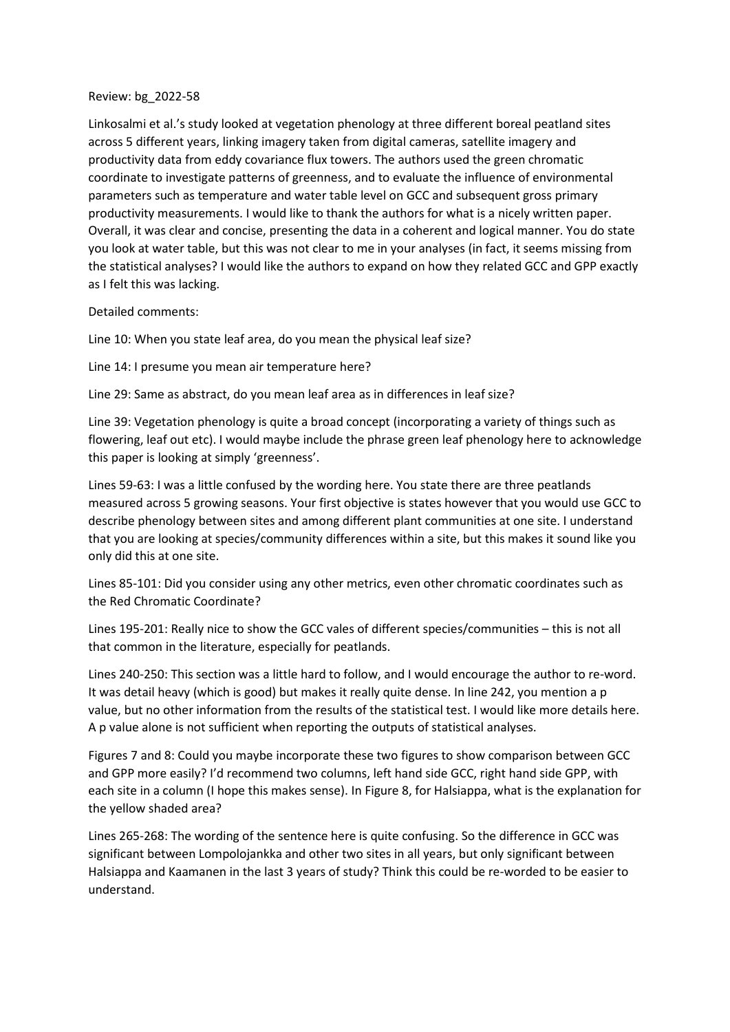## Review: bg\_2022-58

Linkosalmi et al.'s study looked at vegetation phenology at three different boreal peatland sites across 5 different years, linking imagery taken from digital cameras, satellite imagery and productivity data from eddy covariance flux towers. The authors used the green chromatic coordinate to investigate patterns of greenness, and to evaluate the influence of environmental parameters such as temperature and water table level on GCC and subsequent gross primary productivity measurements. I would like to thank the authors for what is a nicely written paper. Overall, it was clear and concise, presenting the data in a coherent and logical manner. You do state you look at water table, but this was not clear to me in your analyses (in fact, it seems missing from the statistical analyses? I would like the authors to expand on how they related GCC and GPP exactly as I felt this was lacking.

## Detailed comments:

Line 10: When you state leaf area, do you mean the physical leaf size?

Line 14: I presume you mean air temperature here?

Line 29: Same as abstract, do you mean leaf area as in differences in leaf size?

Line 39: Vegetation phenology is quite a broad concept (incorporating a variety of things such as flowering, leaf out etc). I would maybe include the phrase green leaf phenology here to acknowledge this paper is looking at simply 'greenness'.

Lines 59-63: I was a little confused by the wording here. You state there are three peatlands measured across 5 growing seasons. Your first objective is states however that you would use GCC to describe phenology between sites and among different plant communities at one site. I understand that you are looking at species/community differences within a site, but this makes it sound like you only did this at one site.

Lines 85-101: Did you consider using any other metrics, even other chromatic coordinates such as the Red Chromatic Coordinate?

Lines 195-201: Really nice to show the GCC vales of different species/communities – this is not all that common in the literature, especially for peatlands.

Lines 240-250: This section was a little hard to follow, and I would encourage the author to re-word. It was detail heavy (which is good) but makes it really quite dense. In line 242, you mention a p value, but no other information from the results of the statistical test. I would like more details here. A p value alone is not sufficient when reporting the outputs of statistical analyses.

Figures 7 and 8: Could you maybe incorporate these two figures to show comparison between GCC and GPP more easily? I'd recommend two columns, left hand side GCC, right hand side GPP, with each site in a column (I hope this makes sense). In Figure 8, for Halsiappa, what is the explanation for the yellow shaded area?

Lines 265-268: The wording of the sentence here is quite confusing. So the difference in GCC was significant between Lompolojankka and other two sites in all years, but only significant between Halsiappa and Kaamanen in the last 3 years of study? Think this could be re-worded to be easier to understand.